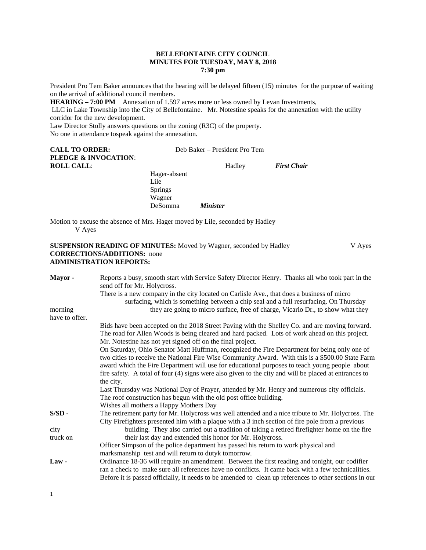## **BELLEFONTAINE CITY COUNCIL MINUTES FOR TUESDAY, MAY 8, 2018 7:30 pm**

President Pro Tem Baker announces that the hearing will be delayed fifteen (15) minutes for the purpose of waiting on the arrival of additional council members.

**HEARING – 7:00 PM** Annexation of 1.597 acres more or less owned by Levan Investments,

LLC in Lake Township into the City of Bellefontaine. Mr. Notestine speaks for the annexation with the utility corridor for the new development.

Law Director Stolly answers questions on the zoning (R3C) of the property. No one in attendance tospeak against the annexation.

| <b>CALL TO ORDER:</b>           | Deb Baker – President Pro Tem |                 |                    |
|---------------------------------|-------------------------------|-----------------|--------------------|
| <b>PLEDGE &amp; INVOCATION:</b> |                               |                 |                    |
| <b>ROLL CALL:</b>               |                               | Hadley          | <b>First Chair</b> |
|                                 | Hager-absent                  |                 |                    |
|                                 | Lile                          |                 |                    |
|                                 | <b>Springs</b>                |                 |                    |
|                                 | Wagner                        |                 |                    |
|                                 | <b>DeSomma</b>                | <i>Minister</i> |                    |

Motion to excuse the absence of Mrs. Hager moved by Lile, seconded by Hadley V Ayes

# **SUSPENSION READING OF MINUTES:** Moved by Wagner, seconded by Hadley V Ayes **CORRECTIONS/ADDITIONS:** none **ADMINISTRATION REPORTS:**

| Mayor-         | Reports a busy, smooth start with Service Safety Director Henry. Thanks all who took part in the<br>send off for Mr. Holycross.                                                                        |
|----------------|--------------------------------------------------------------------------------------------------------------------------------------------------------------------------------------------------------|
|                | There is a new company in the city located on Carlisle Ave., that does a business of micro                                                                                                             |
|                | surfacing, which is something between a chip seal and a full resurfacing. On Thursday                                                                                                                  |
| morning        | they are going to micro surface, free of charge, Vicario Dr., to show what they                                                                                                                        |
| have to offer. |                                                                                                                                                                                                        |
|                | Bids have been accepted on the 2018 Street Paving with the Shelley Co. and are moving forward.                                                                                                         |
|                | The road for Allen Woods is being cleared and hard packed. Lots of work ahead on this project.                                                                                                         |
|                | Mr. Notestine has not yet signed off on the final project.                                                                                                                                             |
|                | On Saturday, Ohio Senator Matt Huffman, recognized the Fire Department for being only one of<br>two cities to receive the National Fire Wise Community Award. With this is a \$500.00 State Farm       |
|                | award which the Fire Department will use for educational purposes to teach young people about<br>fire safety. A total of four (4) signs were also given to the city and will be placed at entrances to |
|                | the city.                                                                                                                                                                                              |
|                | Last Thursday was National Day of Prayer, attended by Mr. Henry and numerous city officials.                                                                                                           |
|                | The roof construction has begun with the old post office building.                                                                                                                                     |
|                | Wishes all mothers a Happy Mothers Day                                                                                                                                                                 |
| $S/SD -$       | The retirement party for Mr. Holycross was well attended and a nice tribute to Mr. Holycross. The                                                                                                      |
|                | City Firefighters presented him with a plaque with a 3 inch section of fire pole from a previous                                                                                                       |
| city           | building. They also carried out a tradition of taking a retired firefighter home on the fire                                                                                                           |
| truck on       | their last day and extended this honor for Mr. Holycross.                                                                                                                                              |
|                | Officer Simpson of the police department has passed his return to work physical and                                                                                                                    |
|                | marksmanship test and will return to dutyk tomorrow.                                                                                                                                                   |
| Law-           | Ordinance 18-36 will require an amendment. Between the first reading and tonight, our codifier                                                                                                         |
|                | ran a check to make sure all references have no conflicts. It came back with a few technicalities.                                                                                                     |
|                | Before it is passed officially, it needs to be amended to clean up references to other sections in our                                                                                                 |
|                |                                                                                                                                                                                                        |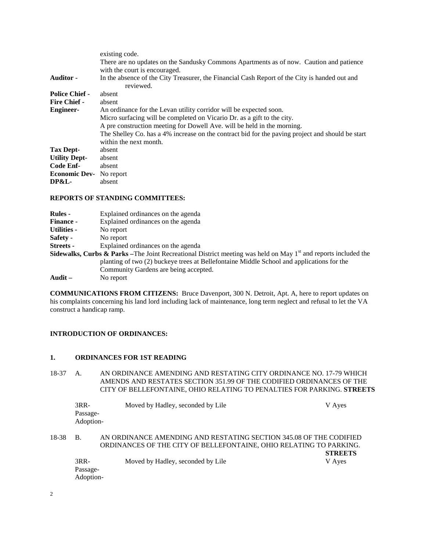|                       | existing code.                                                                                   |
|-----------------------|--------------------------------------------------------------------------------------------------|
|                       | There are no updates on the Sandusky Commons Apartments as of now. Caution and patience          |
|                       | with the court is encouraged.                                                                    |
| <b>Auditor -</b>      | In the absence of the City Treasurer, the Financial Cash Report of the City is handed out and    |
|                       | reviewed.                                                                                        |
| <b>Police Chief -</b> | absent                                                                                           |
| <b>Fire Chief -</b>   | absent                                                                                           |
| <b>Engineer-</b>      | An ordinance for the Levan utility corridor will be expected soon.                               |
|                       | Micro surfacing will be completed on Vicario Dr. as a gift to the city.                          |
|                       | A pre construction meeting for Dowell Ave. will be held in the morning.                          |
|                       | The Shelley Co. has a 4% increase on the contract bid for the paving project and should be start |
|                       | within the next month.                                                                           |
| Tax Dept-             | absent                                                                                           |
| <b>Utility Dept-</b>  | absent                                                                                           |
| Code Enf-             | absent                                                                                           |
| <b>Economic Dev-</b>  | No report                                                                                        |
| <b>DP&amp;L-</b>      | absent                                                                                           |

#### **REPORTS OF STANDING COMMITTEES:**

| <b>Rules</b> -   | Explained ordinances on the agenda                                                                                          |
|------------------|-----------------------------------------------------------------------------------------------------------------------------|
| <b>Finance -</b> | Explained ordinances on the agenda                                                                                          |
| Utilities -      | No report                                                                                                                   |
| Safety -         | No report                                                                                                                   |
| Streets -        | Explained ordinances on the agenda                                                                                          |
|                  | <b>Sidewalks, Curbs &amp; Parks</b> –The Joint Recreational District meeting was held on May $1st$ and reports included the |
|                  | planting of two (2) buckeye trees at Bellefontaine Middle School and applications for the                                   |
|                  | Community Gardens are being accepted.                                                                                       |
| Audit $-$        | No report                                                                                                                   |

**COMMUNICATIONS FROM CITIZENS:** Bruce Davenport, 300 N. Detroit, Apt. A, here to report updates on his complaints concerning his land lord including lack of maintenance, long term neglect and refusal to let the VA construct a handicap ramp.

# **INTRODUCTION OF ORDINANCES:**

# **1. ORDINANCES FOR 1ST READING**

18-37 A. AN ORDINANCE AMENDING AND RESTATING CITY ORDINANCE NO. 17-79 WHICH AMENDS AND RESTATES SECTION 351.99 OF THE CODIFIED ORDINANCES OF THE CITY OF BELLEFONTAINE, OHIO RELATING TO PENALTIES FOR PARKING. **STREETS**

|       | $3RR-$    | Moved by Hadley, seconded by Lile                                  | V Ayes         |
|-------|-----------|--------------------------------------------------------------------|----------------|
|       | Passage-  |                                                                    |                |
|       | Adoption- |                                                                    |                |
|       |           |                                                                    |                |
| 18-38 | - B.      | AN ORDINANCE AMENDING AND RESTATING SECTION 345.08 OF THE CODIFIED |                |
|       |           | ORDINANCES OF THE CITY OF BELLEFONTAINE, OHIO RELATING TO PARKING. |                |
|       |           |                                                                    | <b>STREETS</b> |
|       | $3RR-$    | Moved by Hadley, seconded by Lile                                  | V Ayes         |
|       | Passage-  |                                                                    |                |
|       | Adoption- |                                                                    |                |
|       |           |                                                                    |                |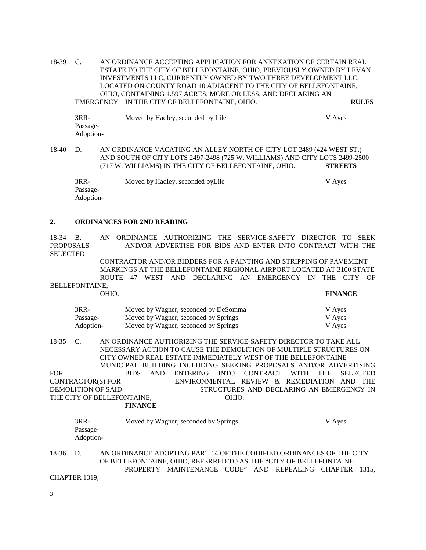18-39 C. AN ORDINANCE ACCEPTING APPLICATION FOR ANNEXATION OF CERTAIN REAL ESTATE TO THE CITY OF BELLEFONTAINE, OHIO, PREVIOUSLY OWNED BY LEVAN INVESTMENTS LLC, CURRENTLY OWNED BY TWO THREE DEVELOPMENT LLC, LOCATED ON COUNTY ROAD 10 ADJACENT TO THE CITY OF BELLEFONTAINE, OHIO, CONTAINING 1.597 ACRES, MORE OR LESS, AND DECLARING AN EMERGENCY IN THE CITY OF BELLEFONTAINE, OHIO. **RULES**

3RR- Moved by Hadley, seconded by Lile V Ayes Passage-Adoption-

18-40 D. AN ORDINANCE VACATING AN ALLEY NORTH OF CITY LOT 2489 (424 WEST ST.) AND SOUTH OF CITY LOTS 2497-2498 (725 W. WILLIAMS) AND CITY LOTS 2499-2500 (717 W. WILLIAMS) IN THE CITY OF BELLEFONTAINE, OHIO. **STREETS**

3RR- Moved by Hadley, seconded byLile V Ayes Passage-Adoption-

#### **2. ORDINANCES FOR 2ND READING**

18-34 B. AN ORDINANCE AUTHORIZING THE SERVICE-SAFETY DIRECTOR TO SEEK PROPOSALS AND/OR ADVERTISE FOR BIDS AND ENTER INTO CONTRACT WITH THE **SELECTED** 

> CONTRACTOR AND/OR BIDDERS FOR A PAINTING AND STRIPPING OF PAVEMENT MARKINGS AT THE BELLEFONTAINE REGIONAL AIRPORT LOCATED AT 3100 STATE ROUTE 47 WEST AND DECLARING AN EMERGENCY IN THE CITY OF

BELLEFONTAINE,

OHIO. **FINANCE**

| $3RR-$    | Moved by Wagner, seconded by DeSomma | V Ayes |
|-----------|--------------------------------------|--------|
| Passage-  | Moved by Wagner, seconded by Springs | V Ayes |
| Adoption- | Moved by Wagner, seconded by Springs | V Ayes |

18-35 C. AN ORDINANCE AUTHORIZING THE SERVICE-SAFETY DIRECTOR TO TAKE ALL NECESSARY ACTION TO CAUSE THE DEMOLITION OF MULTIPLE STRUCTURES ON CITY OWNED REAL ESTATE IMMEDIATELY WEST OF THE BELLEFONTAINE MUNICIPAL BUILDING INCLUDING SEEKING PROPOSALS AND/OR ADVERTISING FOR BIDS AND ENTERING INTO CONTRACT WITH THE SELECTED CONTRACTOR(S) FOR ENVIRONMENTAL REVIEW & REMEDIATION AND THE DEMOLITION OF SAID STRUCTURES AND DECLARING AN EMERGENCY IN THE CITY OF BELLEFONTAINE. THE CITY OF BELLEFONTAINE, **FINANCE**

| $3RR-$                | Moved by Wagner, seconded by Springs | V Aves |
|-----------------------|--------------------------------------|--------|
| Passage-<br>Adoption- |                                      |        |
|                       |                                      |        |

18-36 D. AN ORDINANCE ADOPTING PART 14 OF THE CODIFIED ORDINANCES OF THE CITY OF BELLEFONTAINE, OHIO, REFERRED TO AS THE "CITY OF BELLEFONTAINE PROPERTY MAINTENANCE CODE" AND REPEALING CHAPTER 1315,

CHAPTER 1319,